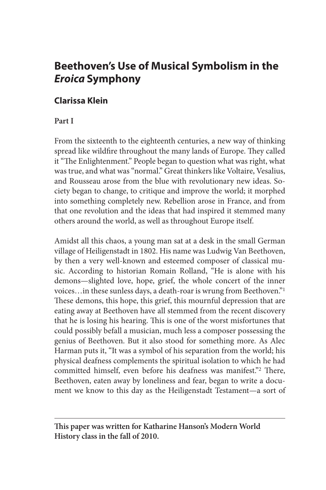# **Beethoven's Use of Musical Symbolism in the**  *Eroica* **Symphony**

# **Clarissa Klein**

# **Part I**

From the sixteenth to the eighteenth centuries, a new way of thinking spread like wildfire throughout the many lands of Europe. They called it "The Enlightenment." People began to question what was right, what was true, and what was "normal." Great thinkers like Voltaire, Vesalius, and Rousseau arose from the blue with revolutionary new ideas. Society began to change, to critique and improve the world; it morphed into something completely new. Rebellion arose in France, and from that one revolution and the ideas that had inspired it stemmed many others around the world, as well as throughout Europe itself.

Amidst all this chaos, a young man sat at a desk in the small German village of Heiligenstadt in 1802. His name was Ludwig Van Beethoven, by then a very well-known and esteemed composer of classical music. According to historian Romain Rolland, "He is alone with his demons—slighted love, hope, grief, the whole concert of the inner voices…in these sunless days, a death-roar is wrung from Beethoven."1 These demons, this hope, this grief, this mournful depression that are eating away at Beethoven have all stemmed from the recent discovery that he is losing his hearing. This is one of the worst misfortunes that could possibly befall a musician, much less a composer possessing the genius of Beethoven. But it also stood for something more. As Alec Harman puts it, "It was a symbol of his separation from the world; his physical deafness complements the spiritual isolation to which he had committed himself, even before his deafness was manifest."2 There, Beethoven, eaten away by loneliness and fear, began to write a document we know to this day as the Heiligenstadt Testament—a sort of

**This paper was written for Katharine Hanson's Modern World History class in the fall of 2010.**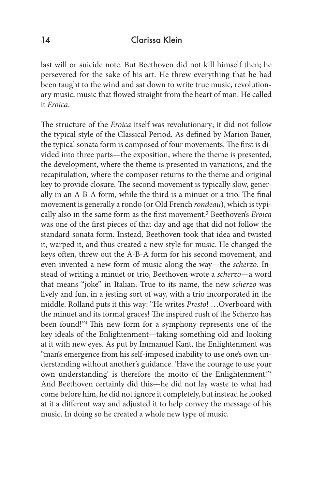last will or suicide note. But Beethoven did not kill himself then; he persevered for the sake of his art. He threw everything that he had been taught to the wind and sat down to write true music, revolutionary music, music that flowed straight from the heart of man. He called it *Eroica*.

The structure of the *Eroica* itself was revolutionary; it did not follow the typical style of the Classical Period. As defined by Marion Bauer, the typical sonata form is composed of four movements. The first is divided into three parts—the exposition, where the theme is presented, the development, where the theme is presented in variations, and the recapitulation, where the composer returns to the theme and original key to provide closure. The second movement is typically slow, generally in an A-B-A form, while the third is a minuet or a trio. The final movement is generally a rondo (or Old French *rondeau*), which is typically also in the same form as the first movement.3 Beethoven's *Eroica*  was one of the first pieces of that day and age that did not follow the standard sonata form. Instead, Beethoven took that idea and twisted it, warped it, and thus created a new style for music. He changed the keys often, threw out the A-B-A form for his second movement, and even invented a new form of music along the way—the *scherzo*. Instead of writing a minuet or trio, Beethoven wrote a *scherzo*—a word that means "joke" in Italian. True to its name, the new *scherzo* was lively and fun, in a jesting sort of way, with a trio incorporated in the middle. Rolland puts it this way: "He writes *Presto*! …Overboard with the minuet and its formal graces! The inspired rush of the Scherzo has been found!"4 This new form for a symphony represents one of the key ideals of the Enlightenment—taking something old and looking at it with new eyes. As put by Immanuel Kant, the Enlightenment was "man's emergence from his self-imposed inability to use one's own understanding without another's guidance. 'Have the courage to use your own understanding' is therefore the motto of the Enlightenment."5 And Beethoven certainly did this—he did not lay waste to what had come before him, he did not ignore it completely, but instead he looked at it a different way and adjusted it to help convey the message of his music. In doing so he created a whole new type of music.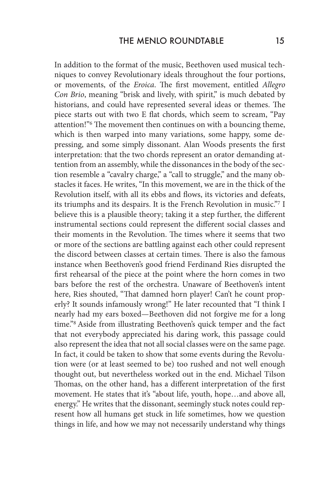In addition to the format of the music, Beethoven used musical techniques to convey Revolutionary ideals throughout the four portions, or movements, of the *Eroica*. The first movement, entitled *Allegro Con Brio*, meaning "brisk and lively, with spirit," is much debated by historians, and could have represented several ideas or themes. The piece starts out with two E flat chords, which seem to scream, "Pay attention!"6 The movement then continues on with a bouncing theme, which is then warped into many variations, some happy, some depressing, and some simply dissonant. Alan Woods presents the first interpretation: that the two chords represent an orator demanding attention from an assembly, while the dissonances in the body of the section resemble a "cavalry charge," a "call to struggle," and the many obstacles it faces. He writes, "In this movement, we are in the thick of the Revolution itself, with all its ebbs and flows, its victories and defeats, its triumphs and its despairs. It is the French Revolution in music."7 I believe this is a plausible theory; taking it a step further, the different instrumental sections could represent the different social classes and their moments in the Revolution. The times where it seems that two or more of the sections are battling against each other could represent the discord between classes at certain times. There is also the famous instance when Beethoven's good friend Ferdinand Ries disrupted the first rehearsal of the piece at the point where the horn comes in two bars before the rest of the orchestra. Unaware of Beethoven's intent here, Ries shouted, "That damned horn player! Can't he count properly? It sounds infamously wrong!" He later recounted that "I think I nearly had my ears boxed—Beethoven did not forgive me for a long time."8 Aside from illustrating Beethoven's quick temper and the fact that not everybody appreciated his daring work, this passage could also represent the idea that not all social classes were on the same page. In fact, it could be taken to show that some events during the Revolution were (or at least seemed to be) too rushed and not well enough thought out, but nevertheless worked out in the end. Michael Tilson Thomas, on the other hand, has a different interpretation of the first movement. He states that it's "about life, youth, hope…and above all, energy." He writes that the dissonant, seemingly stuck notes could represent how all humans get stuck in life sometimes, how we question things in life, and how we may not necessarily understand why things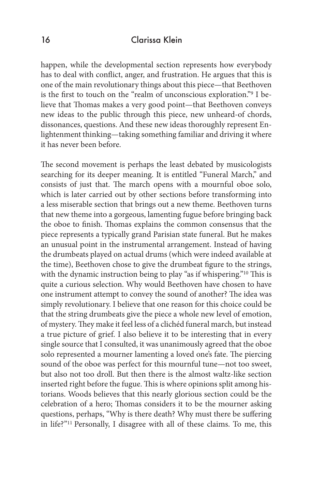happen, while the developmental section represents how everybody has to deal with conflict, anger, and frustration. He argues that this is one of the main revolutionary things about this piece—that Beethoven is the first to touch on the "realm of unconscious exploration."9 I believe that Thomas makes a very good point—that Beethoven conveys new ideas to the public through this piece, new unheard-of chords, dissonances, questions. And these new ideas thoroughly represent Enlightenment thinking—taking something familiar and driving it where it has never been before.

The second movement is perhaps the least debated by musicologists searching for its deeper meaning. It is entitled "Funeral March," and consists of just that. The march opens with a mournful oboe solo, which is later carried out by other sections before transforming into a less miserable section that brings out a new theme. Beethoven turns that new theme into a gorgeous, lamenting fugue before bringing back the oboe to finish. Thomas explains the common consensus that the piece represents a typically grand Parisian state funeral. But he makes an unusual point in the instrumental arrangement. Instead of having the drumbeats played on actual drums (which were indeed available at the time), Beethoven chose to give the drumbeat figure to the strings, with the dynamic instruction being to play "as if whispering."10 This is quite a curious selection. Why would Beethoven have chosen to have one instrument attempt to convey the sound of another? The idea was simply revolutionary. I believe that one reason for this choice could be that the string drumbeats give the piece a whole new level of emotion, of mystery. They make it feel less of a clichéd funeral march, but instead a true picture of grief. I also believe it to be interesting that in every single source that I consulted, it was unanimously agreed that the oboe solo represented a mourner lamenting a loved one's fate. The piercing sound of the oboe was perfect for this mournful tune—not too sweet, but also not too droll. But then there is the almost waltz-like section inserted right before the fugue. This is where opinions split among historians. Woods believes that this nearly glorious section could be the celebration of a hero; Thomas considers it to be the mourner asking questions, perhaps, "Why is there death? Why must there be suffering in life?"11 Personally, I disagree with all of these claims. To me, this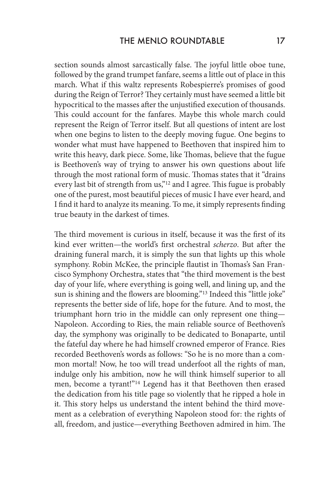section sounds almost sarcastically false. The joyful little oboe tune, followed by the grand trumpet fanfare, seems a little out of place in this march. What if this waltz represents Robespierre's promises of good during the Reign of Terror? They certainly must have seemed a little bit hypocritical to the masses after the unjustified execution of thousands. This could account for the fanfares. Maybe this whole march could represent the Reign of Terror itself. But all questions of intent are lost when one begins to listen to the deeply moving fugue. One begins to wonder what must have happened to Beethoven that inspired him to write this heavy, dark piece. Some, like Thomas, believe that the fugue is Beethoven's way of trying to answer his own questions about life through the most rational form of music. Thomas states that it "drains every last bit of strength from us,"12 and I agree. This fugue is probably one of the purest, most beautiful pieces of music I have ever heard, and I find it hard to analyze its meaning. To me, it simply represents finding true beauty in the darkest of times.

The third movement is curious in itself, because it was the first of its kind ever written—the world's first orchestral *scherzo*. But after the draining funeral march, it is simply the sun that lights up this whole symphony. Robin McKee, the principle flautist in Thomas's San Francisco Symphony Orchestra, states that "the third movement is the best day of your life, where everything is going well, and lining up, and the sun is shining and the flowers are blooming."<sup>13</sup> Indeed this "little joke" represents the better side of life, hope for the future. And to most, the triumphant horn trio in the middle can only represent one thing— Napoleon. According to Ries, the main reliable source of Beethoven's day, the symphony was originally to be dedicated to Bonaparte, until the fateful day where he had himself crowned emperor of France. Ries recorded Beethoven's words as follows: "So he is no more than a common mortal! Now, he too will tread underfoot all the rights of man, indulge only his ambition, now he will think himself superior to all men, become a tyrant!"14 Legend has it that Beethoven then erased the dedication from his title page so violently that he ripped a hole in it. This story helps us understand the intent behind the third movement as a celebration of everything Napoleon stood for: the rights of all, freedom, and justice—everything Beethoven admired in him. The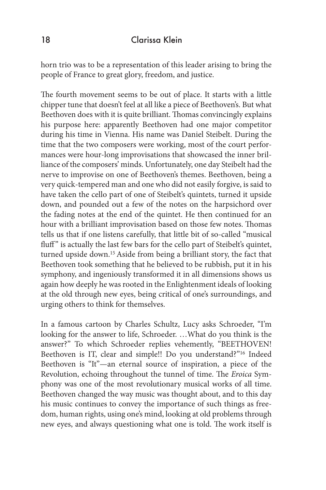horn trio was to be a representation of this leader arising to bring the people of France to great glory, freedom, and justice.

The fourth movement seems to be out of place. It starts with a little chipper tune that doesn't feel at all like a piece of Beethoven's. But what Beethoven does with it is quite brilliant. Thomas convincingly explains his purpose here: apparently Beethoven had one major competitor during his time in Vienna. His name was Daniel Steibelt. During the time that the two composers were working, most of the court performances were hour-long improvisations that showcased the inner brilliance of the composers' minds. Unfortunately, one day Steibelt had the nerve to improvise on one of Beethoven's themes. Beethoven, being a very quick-tempered man and one who did not easily forgive, is said to have taken the cello part of one of Steibelt's quintets, turned it upside down, and pounded out a few of the notes on the harpsichord over the fading notes at the end of the quintet. He then continued for an hour with a brilliant improvisation based on those few notes. Thomas tells us that if one listens carefully, that little bit of so-called "musical fluff" is actually the last few bars for the cello part of Steibelt's quintet, turned upside down.15 Aside from being a brilliant story, the fact that Beethoven took something that he believed to be rubbish, put it in his symphony, and ingeniously transformed it in all dimensions shows us again how deeply he was rooted in the Enlightenment ideals of looking at the old through new eyes, being critical of one's surroundings, and urging others to think for themselves.

In a famous cartoon by Charles Schultz, Lucy asks Schroeder, "I'm looking for the answer to life, Schroeder. …What do you think is the answer?" To which Schroeder replies vehemently, "BEETHOVEN! Beethoven is IT, clear and simple!! Do you understand?"16 Indeed Beethoven is "It"—an eternal source of inspiration, a piece of the Revolution, echoing throughout the tunnel of time. The *Eroica* Symphony was one of the most revolutionary musical works of all time. Beethoven changed the way music was thought about, and to this day his music continues to convey the importance of such things as freedom, human rights, using one's mind, looking at old problems through new eyes, and always questioning what one is told. The work itself is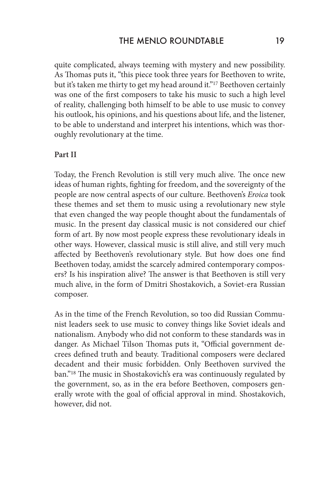quite complicated, always teeming with mystery and new possibility. As Thomas puts it, "this piece took three years for Beethoven to write, but it's taken me thirty to get my head around it."<sup>17</sup> Beethoven certainly was one of the first composers to take his music to such a high level of reality, challenging both himself to be able to use music to convey his outlook, his opinions, and his questions about life, and the listener, to be able to understand and interpret his intentions, which was thoroughly revolutionary at the time.

#### **Part II**

Today, the French Revolution is still very much alive. The once new ideas of human rights, fighting for freedom, and the sovereignty of the people are now central aspects of our culture. Beethoven's *Eroica* took these themes and set them to music using a revolutionary new style that even changed the way people thought about the fundamentals of music. In the present day classical music is not considered our chief form of art. By now most people express these revolutionary ideals in other ways. However, classical music is still alive, and still very much affected by Beethoven's revolutionary style. But how does one find Beethoven today, amidst the scarcely admired contemporary composers? Is his inspiration alive? The answer is that Beethoven is still very much alive, in the form of Dmitri Shostakovich, a Soviet-era Russian composer.

As in the time of the French Revolution, so too did Russian Communist leaders seek to use music to convey things like Soviet ideals and nationalism. Anybody who did not conform to these standards was in danger. As Michael Tilson Thomas puts it, "Official government decrees defined truth and beauty. Traditional composers were declared decadent and their music forbidden. Only Beethoven survived the ban."18 The music in Shostakovich's era was continuously regulated by the government, so, as in the era before Beethoven, composers generally wrote with the goal of official approval in mind. Shostakovich, however, did not.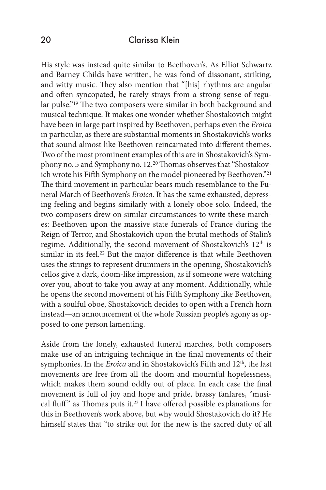His style was instead quite similar to Beethoven's. As Elliot Schwartz and Barney Childs have written, he was fond of dissonant, striking, and witty music. They also mention that "[his] rhythms are angular and often syncopated, he rarely strays from a strong sense of regular pulse."19 The two composers were similar in both background and musical technique. It makes one wonder whether Shostakovich might have been in large part inspired by Beethoven, perhaps even the *Eroica*  in particular, as there are substantial moments in Shostakovich's works that sound almost like Beethoven reincarnated into different themes. Two of the most prominent examples of this are in Shostakovich's Symphony no. 5 and Symphony no. 12.20 Thomas observes that "Shostakovich wrote his Fifth Symphony on the model pioneered by Beethoven."21 The third movement in particular bears much resemblance to the Funeral March of Beethoven's *Eroica*. It has the same exhausted, depressing feeling and begins similarly with a lonely oboe solo. Indeed, the two composers drew on similar circumstances to write these marches: Beethoven upon the massive state funerals of France during the Reign of Terror, and Shostakovich upon the brutal methods of Stalin's regime. Additionally, the second movement of Shostakovich's 12<sup>th</sup> is similar in its feel.<sup>22</sup> But the major difference is that while Beethoven uses the strings to represent drummers in the opening, Shostakovich's cellos give a dark, doom-like impression, as if someone were watching over you, about to take you away at any moment. Additionally, while he opens the second movement of his Fifth Symphony like Beethoven, with a soulful oboe, Shostakovich decides to open with a French horn instead—an announcement of the whole Russian people's agony as opposed to one person lamenting.

Aside from the lonely, exhausted funeral marches, both composers make use of an intriguing technique in the final movements of their symphonies. In the *Eroica* and in Shostakovich's Fifth and 12<sup>th</sup>, the last movements are free from all the doom and mournful hopelessness, which makes them sound oddly out of place. In each case the final movement is full of joy and hope and pride, brassy fanfares, "musical fluff" as Thomas puts it.<sup>23</sup> I have offered possible explanations for this in Beethoven's work above, but why would Shostakovich do it? He himself states that "to strike out for the new is the sacred duty of all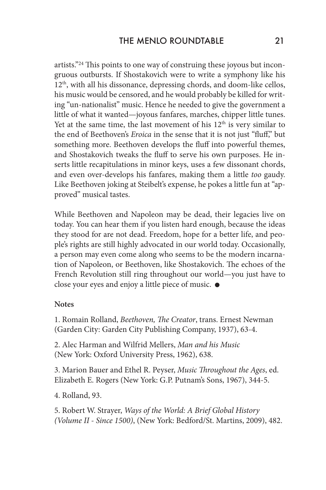artists."24 This points to one way of construing these joyous but incongruous outbursts. If Shostakovich were to write a symphony like his 12<sup>th</sup>, with all his dissonance, depressing chords, and doom-like cellos, his music would be censored, and he would probably be killed for writing "un-nationalist" music. Hence he needed to give the government a little of what it wanted—joyous fanfares, marches, chipper little tunes. Yet at the same time, the last movement of his  $12<sup>th</sup>$  is very similar to the end of Beethoven's *Eroica* in the sense that it is not just "fluff," but something more. Beethoven develops the fluff into powerful themes, and Shostakovich tweaks the fluff to serve his own purposes. He inserts little recapitulations in minor keys, uses a few dissonant chords, and even over-develops his fanfares, making them a little *too* gaudy. Like Beethoven joking at Steibelt's expense, he pokes a little fun at "approved" musical tastes.

While Beethoven and Napoleon may be dead, their legacies live on today. You can hear them if you listen hard enough, because the ideas they stood for are not dead. Freedom, hope for a better life, and people's rights are still highly advocated in our world today. Occasionally, a person may even come along who seems to be the modern incarnation of Napoleon, or Beethoven, like Shostakovich. The echoes of the French Revolution still ring throughout our world—you just have to close your eyes and enjoy a little piece of music.

#### **Notes**

1. Romain Rolland, *Beethoven, The Creator*, trans. Ernest Newman (Garden City: Garden City Publishing Company, 1937), 63-4.

2. Alec Harman and Wilfrid Mellers, *Man and his Music* (New York: Oxford University Press, 1962), 638.

3. Marion Bauer and Ethel R. Peyser, *Music Throughout the Ages*, ed. Elizabeth E. Rogers (New York: G.P. Putnam's Sons, 1967), 344-5.

4. Rolland, 93.

5. Robert W. Strayer, *Ways of the World: A Brief Global History (Volume II - Since 1500)*, (New York: Bedford/St. Martins, 2009), 482.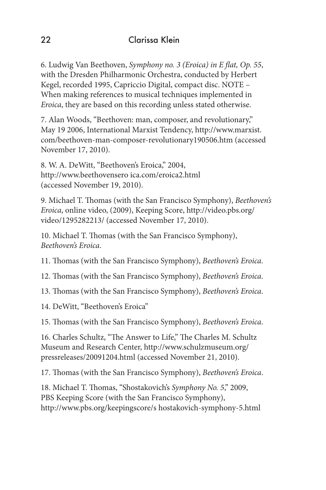6. Ludwig Van Beethoven, *Symphony no. 3 (Eroica) in E flat, Op. 55*, with the Dresden Philharmonic Orchestra, conducted by Herbert Kegel, recorded 1995, Capriccio Digital, compact disc. NOTE – When making references to musical techniques implemented in *Eroica*, they are based on this recording unless stated otherwise.

7. Alan Woods, "Beethoven: man, composer, and revolutionary," May 19 2006, International Marxist Tendency, http://www.marxist. com/beethoven-man-composer-revolutionary190506.htm (accessed November 17, 2010).

8. W. A. DeWitt, "Beethoven's Eroica," 2004, http://www.beethovensero ica.com/eroica2.html (accessed November 19, 2010).

9. Michael T. Thomas (with the San Francisco Symphony), *Beethoven's Eroica*, online video, (2009), Keeping Score, http://video.pbs.org/ video/1295282213/ (accessed November 17, 2010).

10. Michael T. Thomas (with the San Francisco Symphony), *Beethoven's Eroica*.

11. Thomas (with the San Francisco Symphony), *Beethoven's Eroica*.

12. Thomas (with the San Francisco Symphony), *Beethoven's Eroica*.

13. Thomas (with the San Francisco Symphony), *Beethoven's Eroica*.

14. DeWitt, "Beethoven's Eroica"

15. Thomas (with the San Francisco Symphony), *Beethoven's Eroica*.

16. Charles Schultz, "The Answer to Life," The Charles M. Schultz Museum and Research Center, http://www.schulzmuseum.org/ pressreleases/20091204.html (accessed November 21, 2010).

17. Thomas (with the San Francisco Symphony), *Beethoven's Eroica*.

18. Michael T. Thomas, "Shostakovich's *Symphony No. 5*," 2009, PBS Keeping Score (with the San Francisco Symphony), http://www.pbs.org/keepingscore/s hostakovich-symphony-5.html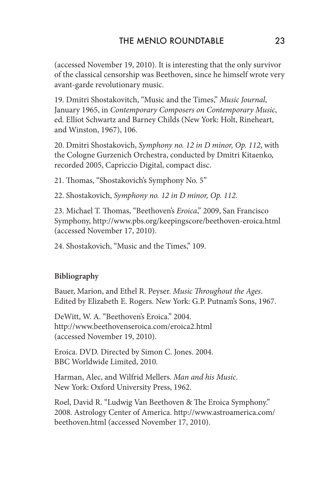(accessed November 19, 2010). It is interesting that the only survivor of the classical censorship was Beethoven, since he himself wrote very avant-garde revolutionary music.

19. Dmitri Shostakovitch, "Music and the Times," *Music Journal*, January 1965, in *Contemporary Composers on Contemporary Music*, ed. Elliot Schwartz and Barney Childs (New York: Holt, Rineheart, and Winston, 1967), 106.

20. Dmitri Shostakovich, *Symphony no. 12 in D minor, Op. 112*, with the Cologne Gurzenich Orchestra, conducted by Dmitri Kitaenko, recorded 2005, Capriccio Digital, compact disc.

21. Thomas, "Shostakovich's Symphony No. 5"

22. Shostakovich, *Symphony no. 12 in D minor, Op. 112*.

23. Michael T. Thomas, "Beethoven's *Eroica*," 2009, San Francisco Symphony, http://www.pbs.org/keepingscore/beethoven-eroica.html (accessed November 17, 2010).

24. Shostakovich, "Music and the Times," 109.

#### **Bibliography**

Bauer, Marion, and Ethel R. Peyser. *Music Throughout the Ages*. Edited by Elizabeth E. Rogers. New York: G.P. Putnam's Sons, 1967.

DeWitt, W. A. "Beethoven's Eroica." 2004. http://www.beethovenseroica.com/eroica2.html (accessed November 19, 2010).

Eroica. DVD. Directed by Simon C. Jones. 2004. BBC Worldwide Limited, 2010.

Harman, Alec, and Wilfrid Mellers. *Man and his Music*. New York: Oxford University Press, 1962.

Roel, David R. "Ludwig Van Beethoven & The Eroica Symphony." 2008. Astrology Center of America. http://www.astroamerica.com/ beethoven.html (accessed November 17, 2010).